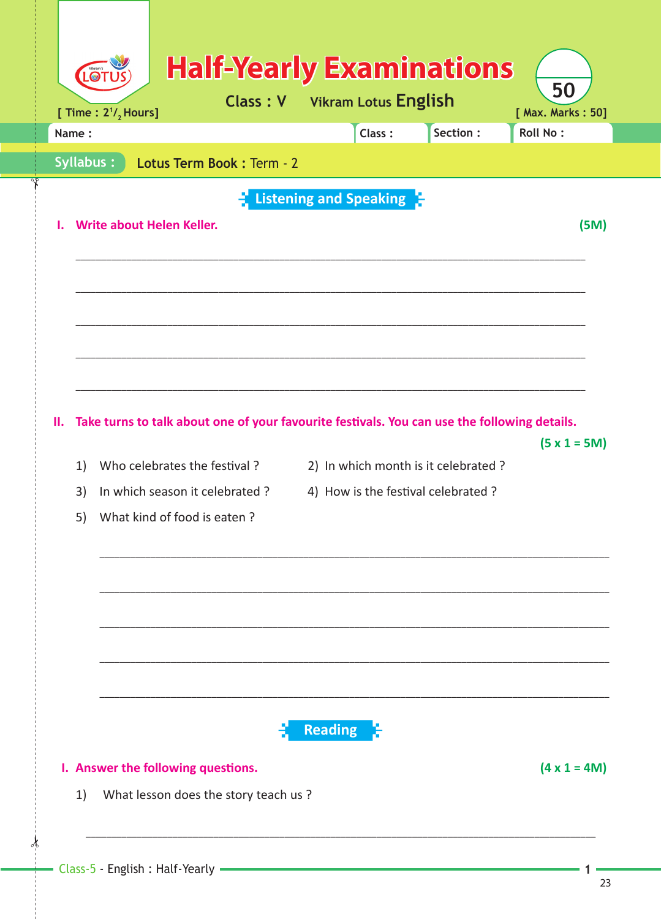| [ Time : $2^{1}/_{2}$ Hours]<br>Name: |                                  |                                 |                | Class:                          | Section:                                                                                     | <b>Roll No:</b> |
|---------------------------------------|----------------------------------|---------------------------------|----------------|---------------------------------|----------------------------------------------------------------------------------------------|-----------------|
| <b>Syllabus:</b>                      |                                  | Lotus Term Book: Term - 2       |                |                                 |                                                                                              |                 |
|                                       |                                  |                                 |                | <b>Listening and Speaking F</b> |                                                                                              |                 |
|                                       | <b>Write about Helen Keller.</b> |                                 |                |                                 |                                                                                              | (5M)            |
|                                       |                                  |                                 |                |                                 |                                                                                              |                 |
|                                       |                                  |                                 |                |                                 |                                                                                              |                 |
|                                       |                                  |                                 |                |                                 |                                                                                              |                 |
|                                       |                                  |                                 |                |                                 |                                                                                              |                 |
|                                       |                                  |                                 |                |                                 |                                                                                              |                 |
|                                       |                                  |                                 |                |                                 |                                                                                              |                 |
|                                       |                                  |                                 |                |                                 |                                                                                              |                 |
|                                       |                                  |                                 |                |                                 | Take turns to talk about one of your favourite festivals. You can use the following details. | $(5 x 1 = 5M)$  |
| 1)                                    |                                  | Who celebrates the festival?    |                |                                 | 2) In which month is it celebrated ?                                                         |                 |
| 3)                                    |                                  | In which season it celebrated ? |                |                                 | 4) How is the festival celebrated ?                                                          |                 |
| н.<br>5)                              |                                  | What kind of food is eaten?     |                |                                 |                                                                                              |                 |
|                                       |                                  |                                 |                |                                 |                                                                                              |                 |
|                                       |                                  |                                 |                |                                 |                                                                                              |                 |
|                                       |                                  |                                 |                |                                 |                                                                                              |                 |
|                                       |                                  |                                 |                |                                 |                                                                                              |                 |
|                                       |                                  |                                 |                |                                 |                                                                                              |                 |
|                                       |                                  |                                 |                |                                 |                                                                                              |                 |
|                                       |                                  |                                 | <b>Reading</b> |                                 |                                                                                              |                 |

1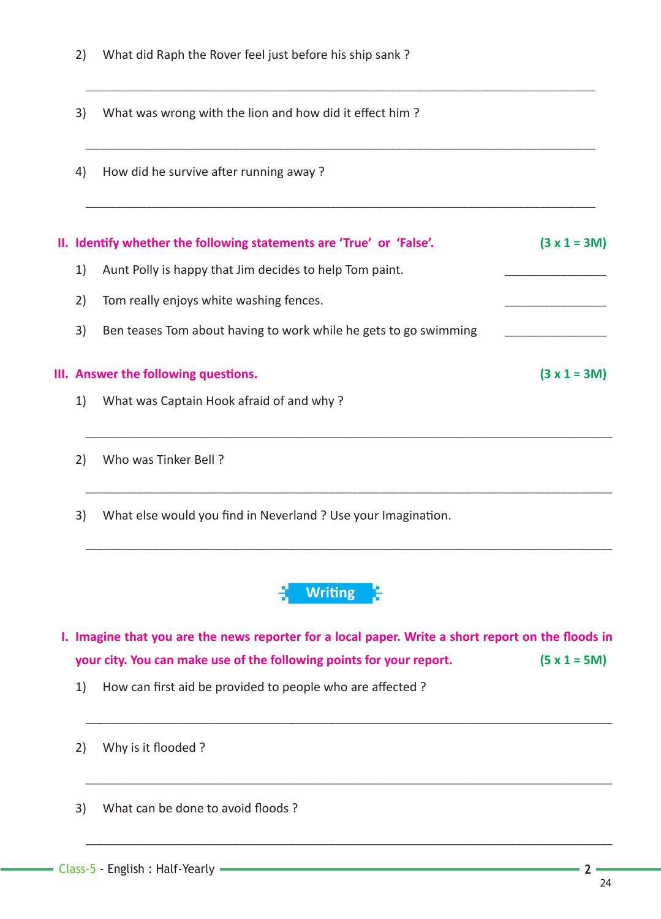- 2) What did Raph the Rover feel just before his ship sank ?
- 3) What was wrong with the lion and how did it effect him?
- 4) How did he survive after running away?

|    | II. Identify whether the following statements are 'True' or 'False'. | $(3 x 1 = 3M)$ |
|----|----------------------------------------------------------------------|----------------|
| 1) | Aunt Polly is happy that Jim decides to help Tom paint.              |                |
| 2) | Tom really enjoys white washing fences.                              |                |
| 3) | Ben teases Tom about having to work while he gets to go swimming     |                |
|    | III. Answer the following questions.                                 | $(3 x 1 = 3M)$ |
| 1) | What was Captain Hook afraid of and why?                             |                |
|    |                                                                      |                |

\_\_\_\_\_\_\_\_\_\_\_\_\_\_\_\_\_\_\_\_\_\_\_\_\_\_\_\_\_\_\_\_\_\_\_\_\_\_\_\_\_\_\_\_\_\_\_\_\_\_\_\_\_\_\_\_\_\_\_\_\_\_\_\_\_\_\_\_\_\_\_\_\_\_\_\_\_\_\_\_\_\_\_\_\_\_\_\_\_\_\_\_\_\_\_\_\_\_\_\_

 $\overline{\phantom{a}}$  , and the contribution of the contribution of the contribution of the contribution of the contribution of the contribution of the contribution of the contribution of the contribution of the contribution of the

 $\overline{\phantom{a}}$  , and the contribution of the contribution of the contribution of the contribution of the contribution of the contribution of the contribution of the contribution of the contribution of the contribution of the

- 2) Who was Tinker Bell ?
- 3) What else would you find in Neverland ? Use your Imagination.



 $\mathcal{L}_\mathcal{L} = \{ \mathcal{L}_\mathcal{L} = \{ \mathcal{L}_\mathcal{L} = \{ \mathcal{L}_\mathcal{L} = \{ \mathcal{L}_\mathcal{L} = \{ \mathcal{L}_\mathcal{L} = \{ \mathcal{L}_\mathcal{L} = \{ \mathcal{L}_\mathcal{L} = \{ \mathcal{L}_\mathcal{L} = \{ \mathcal{L}_\mathcal{L} = \{ \mathcal{L}_\mathcal{L} = \{ \mathcal{L}_\mathcal{L} = \{ \mathcal{L}_\mathcal{L} = \{ \mathcal{L}_\mathcal{L} = \{ \mathcal{L}_\mathcal{$ 

 $\_$  ,  $\_$  ,  $\_$  ,  $\_$  ,  $\_$  ,  $\_$  ,  $\_$  ,  $\_$  ,  $\_$  ,  $\_$  ,  $\_$  ,  $\_$  ,  $\_$  ,  $\_$  ,  $\_$  ,  $\_$  ,  $\_$  ,  $\_$  ,  $\_$  ,  $\_$  ,  $\_$  ,  $\_$  ,  $\_$  ,  $\_$  ,  $\_$  ,  $\_$  ,  $\_$  ,  $\_$  ,  $\_$  ,  $\_$  ,  $\_$  ,  $\_$  ,  $\_$  ,  $\_$  ,  $\_$  ,  $\_$  ,  $\_$  ,

**I. Imagine that you are the news reporter for a local paper. Write a short report on the floods in your city. You can make use of the following points for your report. (5 x 1 = 5M)**

 $\overline{\phantom{a}}$  , and the contract of the contract of the contract of the contract of the contract of the contract of the contract of the contract of the contract of the contract of the contract of the contract of the contrac

 $\overline{\phantom{a}}$  , and the contract of the contract of the contract of the contract of the contract of the contract of the contract of the contract of the contract of the contract of the contract of the contract of the contrac

 $\overline{\phantom{a}}$  , and the contribution of the contribution of the contribution of the contribution of the contribution of the contribution of the contribution of the contribution of the contribution of the contribution of the

- 1) How can first aid be provided to people who are affected?
- 2) Why is it flooded ?
- 3) What can be done to avoid floods?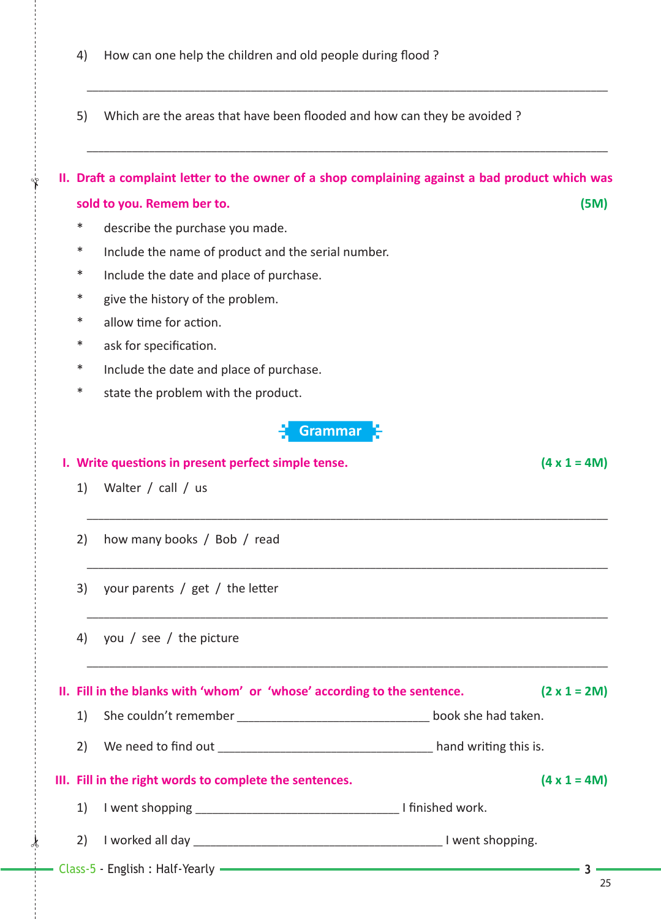|    | Grammar 3                                                                |                     |
|----|--------------------------------------------------------------------------|---------------------|
|    | I. Write questions in present perfect simple tense.                      | $(4 \times 1 = 4M)$ |
| 1) | Walter / call / us                                                       |                     |
| 2) | how many books / Bob / read                                              |                     |
| 3) | your parents / $get$ / the letter                                        |                     |
| 4) | you / see / the picture                                                  |                     |
|    | II. Fill in the blanks with 'whom' or 'whose' according to the sentence. | $(2 \times 1 = 2M)$ |
| 1) |                                                                          |                     |
| 2) |                                                                          |                     |
|    | III. Fill in the right words to complete the sentences.                  | $(4 \times 1 = 4M)$ |
| 1) |                                                                          |                     |
| 2) |                                                                          |                     |
|    | - Class-5 - English : Half-Yearly ————————————————————                   | 25                  |

\* allow time for action.

\* give the history of the problem.

\* describe the purchase you made.

\* Include the name of product and the serial number.

\* ask for specification.

 $\frac{1}{2}$ 

✁

\* Include the date and place of purchase.

\* Include the date and place of purchase.

\* state the problem with the product.

 \_\_\_\_\_\_\_\_\_\_\_\_\_\_\_\_\_\_\_\_\_\_\_\_\_\_\_\_\_\_\_\_\_\_\_\_\_\_\_\_\_\_\_\_\_\_\_\_\_\_\_\_\_\_\_\_\_\_\_\_\_\_\_\_\_\_\_\_\_\_\_\_\_\_\_\_\_\_\_\_\_\_\_\_\_\_\_\_\_\_\_\_ **II.** Draft a complaint letter to the owner of a shop complaining against a bad product which was

**sold to you. Remem ber to. (5M)**

 $\overline{\phantom{a}}$  , and the contribution of the contribution of the contribution of the contribution of the contribution of the contribution of the contribution of the contribution of the contribution of the contribution of the

- 5) Which are the areas that have been flooded and how can they be avoided?
- 4) How can one help the children and old people during flood ?